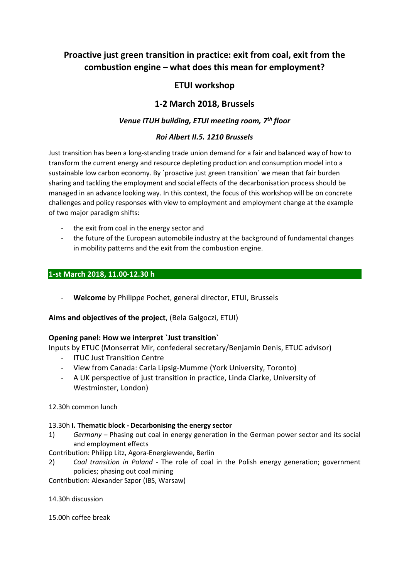# **Proactive just green transition in practice: exit from coal, exit from the combustion engine – what does this mean for employment?**

## **ETUI workshop**

## **1-2 March 2018, Brussels**

## *Venue ITUH building, ETUI meeting room, 7th floor*

### *Roi Albert II.5. 1210 Brussels*

Just transition has been a long-standing trade union demand for a fair and balanced way of how to transform the current energy and resource depleting production and consumption model into a sustainable low carbon economy. By `proactive just green transition` we mean that fair burden sharing and tackling the employment and social effects of the decarbonisation process should be managed in an advance looking way. In this context, the focus of this workshop will be on concrete challenges and policy responses with view to employment and employment change at the example of two major paradigm shifts:

- the exit from coal in the energy sector and
- the future of the European automobile industry at the background of fundamental changes in mobility patterns and the exit from the combustion engine.

#### **1-st March 2018, 11.00-12.30 h**

- **Welcome** by Philippe Pochet, general director, ETUI, Brussels

**Aims and objectives of the project**, (Bela Galgoczi, ETUI)

### **Opening panel: How we interpret `Just transition`**

Inputs by ETUC (Monserrat Mir, confederal secretary/Benjamin Denis, ETUC advisor)

- ITUC Just Transition Centre
- View from Canada: Carla Lipsig-Mumme (York University, Toronto)
- A UK perspective of just transition in practice, Linda Clarke, University of Westminster, London)

#### 12.30h common lunch

#### 13.30h **I. Thematic block - Decarbonising the energy sector**

1) *Germany* – Phasing out coal in energy generation in the German power sector and its social and employment effects

Contribution: Philipp Litz, Agora-Energiewende, Berlin

2) *Coal transition in Poland* - The role of coal in the Polish energy generation; government policies; phasing out coal mining

Contribution: Alexander Szpor (IBS, Warsaw)

14.30h discussion

15.00h coffee break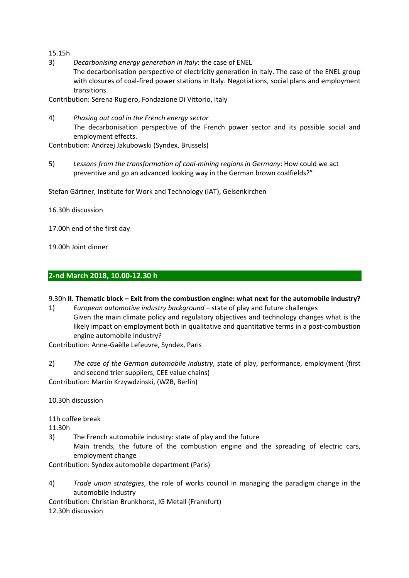15.15h

3) *Decarbonising energy generation in Italy*: the case of ENEL

The decarbonisation perspective of electricity generation in Italy. The case of the ENEL group with closures of coal-fired power stations in Italy. Negotiations, social plans and employment transitions.

Contribution: Serena Rugiero, Fondazione Di Vittorio, Italy

4) *Phasing out coal in the French energy sector*  The decarbonisation perspective of the French power sector and its possible social and employment effects.

Contribution: Andrzej Jakubowski (Syndex, Brussels)

5) *Lessons from the transformation of coal-mining regions in Germany*: How could we act preventive and go an advanced looking way in the German brown coalfields?"

Stefan Gärtner, Institute for Work and Technology (IAT), Gelsenkirchen

16.30h discussion

17.00h end of the first day

19.00h Joint dinner

#### **2-nd March 2018, 10.00-12.30 h**

#### 9.30h **II. Thematic block – Exit from the combustion engine: what next for the automobile industry?**

1) *European automotive industry background* – state of play and future challenges Given the main climate policy and regulatory objectives and technology changes what is the likely impact on employment both in qualitative and quantitative terms in a post-combustion engine automobile industry?

Contribution: Anne-Gaëlle Lefeuvre, Syndex, Paris

2) *The case of the German automobile industry*, state of play, performance, employment (first and second trier suppliers, CEE value chains) Contribution: Martin Krzywdzinski, (WZB, Berlin)

10.30h discussion

11h coffee break

11.30h

3) The French automobile industry: state of play and the future Main trends, the future of the combustion engine and the spreading of electric cars,

employment change

Contribution: Syndex automobile department (Paris)

4) *Trade union strategies*, the role of works council in managing the paradigm change in the automobile industry

Contribution: Christian Brunkhorst, IG Metall (Frankfurt)

12.30h discussion